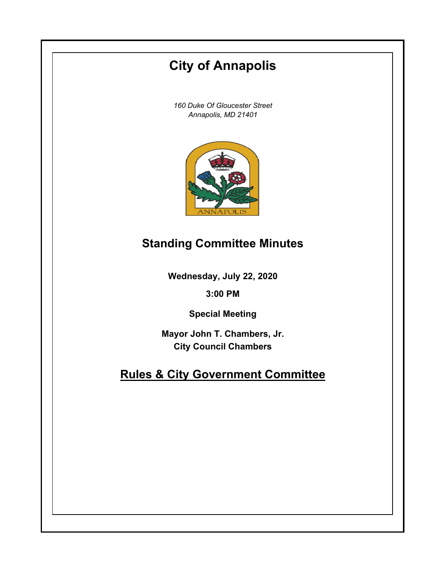# **City of Annapolis**

*160 Duke Of Gloucester Street Annapolis, MD 21401*



### **Standing Committee Minutes**

**Wednesday, July 22, 2020**

**3:00 PM**

**Special Meeting**

**Mayor John T. Chambers, Jr. City Council Chambers**

## **Rules & City Government Committee**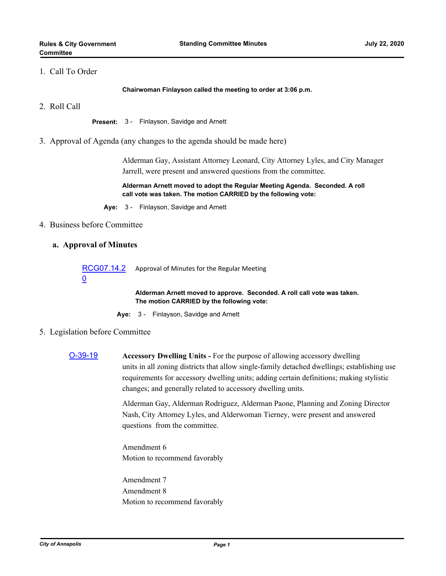#### 1. Call To Order

**Chairwoman Finlayson called the meeting to order at 3:06 p.m.**

2. Roll Call

**Present:** 3 - Finlayson, Savidge and Arnett

3. Approval of Agenda (any changes to the agenda should be made here)

Alderman Gay, Assistant Attorney Leonard, City Attorney Lyles, and City Manager Jarrell, were present and answered questions from the committee.

**Alderman Arnett moved to adopt the Regular Meeting Agenda. Seconded. A roll call vote was taken. The motion CARRIED by the following vote:**

**Aye:** 3 - Finlayson, Savidge and Arnett

#### 4. Business before Committee

#### **a. Approval of Minutes**

[RCG07.14.2](http://annapolismd.legistar.com/gateway.aspx?m=l&id=/matter.aspx?key=4877) 0 Approval of Minutes for the Regular Meeting

> **Alderman Arnett moved to approve. Seconded. A roll call vote was taken. The motion CARRIED by the following vote:**

**Aye:** 3 - Finlayson, Savidge and Arnett

- 5. Legislation before Committee
	- [O-39-19](http://annapolismd.legistar.com/gateway.aspx?m=l&id=/matter.aspx?key=4563) **Accessory Dwelling Units** For the purpose of allowing accessory dwelling units in all zoning districts that allow single-family detached dwellings; establishing use requirements for accessory dwelling units; adding certain definitions; making stylistic changes; and generally related to accessory dwelling units.

Alderman Gay, Alderman Rodriguez, Alderman Paone, Planning and Zoning Director Nash, City Attorney Lyles, and Alderwoman Tierney, were present and answered questions from the committee.

Amendment 6 Motion to recommend favorably

Amendment 7 Amendment 8 Motion to recommend favorably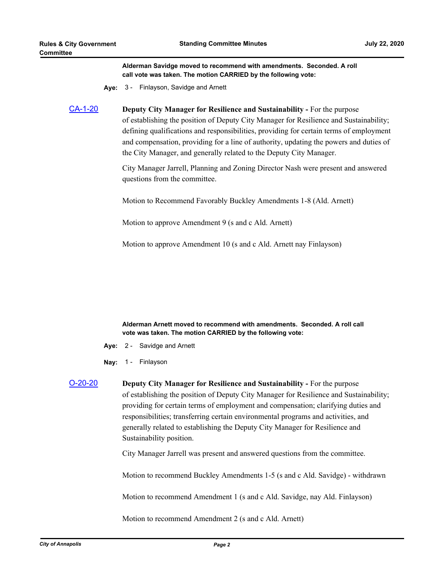**Alderman Savidge moved to recommend with amendments. Seconded. A roll call vote was taken. The motion CARRIED by the following vote:**

**Aye:** 3 - Finlayson, Savidge and Arnett

[CA-1-20](http://annapolismd.legistar.com/gateway.aspx?m=l&id=/matter.aspx?key=4775) **Deputy City Manager for Resilience and Sustainability -** For the purpose of establishing the position of Deputy City Manager for Resilience and Sustainability; defining qualifications and responsibilities, providing for certain terms of employment and compensation, providing for a line of authority, updating the powers and duties of the City Manager, and generally related to the Deputy City Manager.

> City Manager Jarrell, Planning and Zoning Director Nash were present and answered questions from the committee.

Motion to Recommend Favorably Buckley Amendments 1-8 (Ald. Arnett)

Motion to approve Amendment 9 (s and c Ald. Arnett)

Motion to approve Amendment 10 (s and c Ald. Arnett nay Finlayson)

**Alderman Arnett moved to recommend with amendments. Seconded. A roll call vote was taken. The motion CARRIED by the following vote:**

- **Aye:** 2 Savidge and Arnett
- **Nay:** 1 Finlayson
- [O-20-20](http://annapolismd.legistar.com/gateway.aspx?m=l&id=/matter.aspx?key=4778) **Deputy City Manager for Resilience and Sustainability** For the purpose of establishing the position of Deputy City Manager for Resilience and Sustainability; providing for certain terms of employment and compensation; clarifying duties and responsibilities; transferring certain environmental programs and activities, and generally related to establishing the Deputy City Manager for Resilience and Sustainability position.

City Manager Jarrell was present and answered questions from the committee.

Motion to recommend Buckley Amendments 1-5 (s and c Ald. Savidge) - withdrawn

Motion to recommend Amendment 1 (s and c Ald. Savidge, nay Ald. Finlayson)

Motion to recommend Amendment 2 (s and c Ald. Arnett)